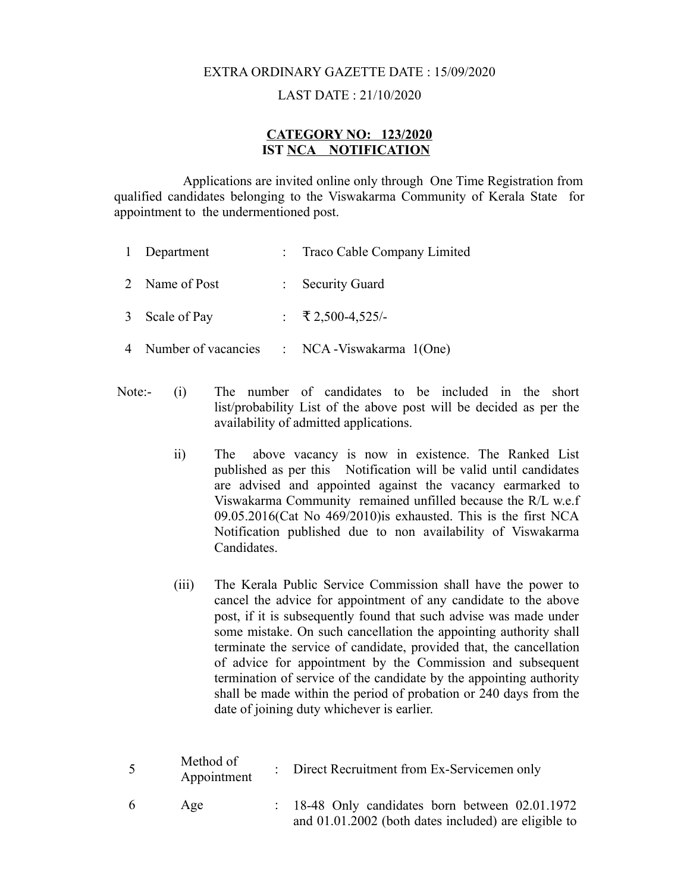# EXTRA ORDINARY GAZETTE DATE : 15/09/2020

### LAST DATE : 21/10/2020

#### **CATEGORY NO: 123/2020 IST NCA NOTIFICATION**

 Applications are invited online only through One Time Registration from qualified candidates belonging to the Viswakarma Community of Kerala State for appointment to the undermentioned post.

| 1 Department          | : Traco Cable Company Limited  |
|-----------------------|--------------------------------|
| 2 Name of Post        | : Security Guard               |
| 3 Scale of Pay        | : $\overline{5}$ 2,500-4,525/- |
| 4 Number of vacancies | : NCA - Viswakarma $1(One)$    |

- Note:- (i) The number of candidates to be included in the short list/probability List of the above post will be decided as per the availability of admitted applications.
	- ii) The above vacancy is now in existence. The Ranked List published as per this Notification will be valid until candidates are advised and appointed against the vacancy earmarked to Viswakarma Community remained unfilled because the R/L w.e.f 09.05.2016(Cat No 469/2010)is exhausted. This is the first NCA Notification published due to non availability of Viswakarma Candidates.
	- (iii) The Kerala Public Service Commission shall have the power to cancel the advice for appointment of any candidate to the above post, if it is subsequently found that such advise was made under some mistake. On such cancellation the appointing authority shall terminate the service of candidate, provided that, the cancellation of advice for appointment by the Commission and subsequent termination of service of the candidate by the appointing authority shall be made within the period of probation or 240 days from the date of joining duty whichever is earlier.

| $5\overline{)}$ | Method of<br>Appointment | : Direct Recruitment from Ex-Servicemen only                                                                       |
|-----------------|--------------------------|--------------------------------------------------------------------------------------------------------------------|
| -6              | Age                      | $\therefore$ 18-48 Only candidates born between 02.01.1972<br>and 01.01.2002 (both dates included) are eligible to |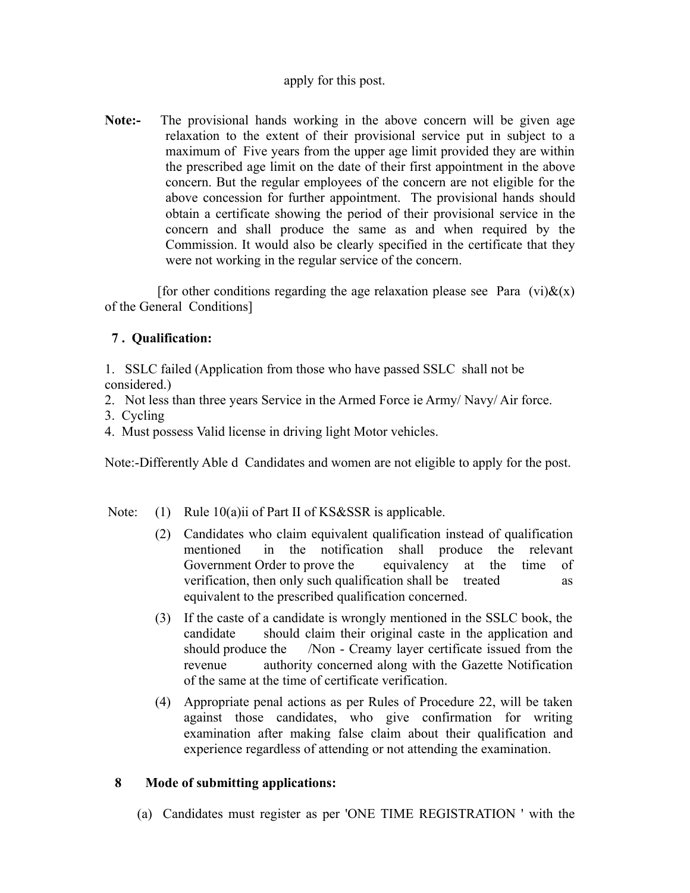### apply for this post.

**Note:-** The provisional hands working in the above concern will be given age relaxation to the extent of their provisional service put in subject to a maximum of Five years from the upper age limit provided they are within the prescribed age limit on the date of their first appointment in the above concern. But the regular employees of the concern are not eligible for the above concession for further appointment. The provisional hands should obtain a certificate showing the period of their provisional service in the concern and shall produce the same as and when required by the Commission. It would also be clearly specified in the certificate that they were not working in the regular service of the concern.

[for other conditions regarding the age relaxation please see Para (vi) $\&(x)$ of the General Conditions]

## **7 . Qualification:**

1. SSLC failed (Application from those who have passed SSLC shall not be considered.)

- 2. Not less than three years Service in the Armed Force ie Army/ Navy/ Air force.
- 3. Cycling
- 4. Must possess Valid license in driving light Motor vehicles.

Note:-Differently Able d Candidates and women are not eligible to apply for the post.

- Note: (1) Rule 10(a)ii of Part II of KS&SSR is applicable.
	- (2) Candidates who claim equivalent qualification instead of qualification mentioned in the notification shall produce the relevant Government Order to prove the equivalency at the time of verification, then only such qualification shall be treated as equivalent to the prescribed qualification concerned.
	- (3) If the caste of a candidate is wrongly mentioned in the SSLC book, the candidate should claim their original caste in the application and should produce the /Non - Creamy layer certificate issued from the revenue authority concerned along with the Gazette Notification of the same at the time of certificate verification.
	- (4) Appropriate penal actions as per Rules of Procedure 22, will be taken against those candidates, who give confirmation for writing examination after making false claim about their qualification and experience regardless of attending or not attending the examination.

### **8 Mode of submitting applications:**

(a) Candidates must register as per 'ONE TIME REGISTRATION ' with the